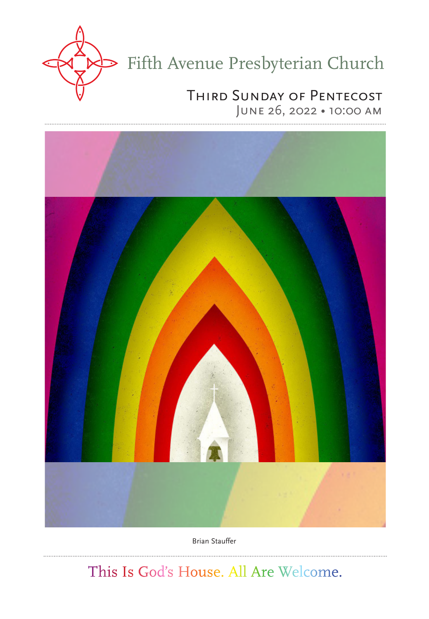

# Fifth Avenue Presbyterian Church

# Third Sunday of Pentecost June 26, 2022 • 10:00 am



Brian Stauffer

This Is God's House. All Are Welcome.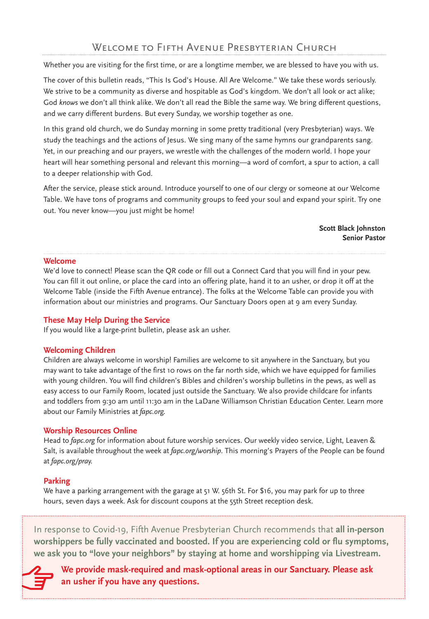Whether you are visiting for the first time, or are a longtime member, we are blessed to have you with us.

The cover of this bulletin reads, "This Is God's House. All Are Welcome." We take these words seriously. We strive to be a community as diverse and hospitable as God's kingdom. We don't all look or act alike; God *knows* we don't all think alike. We don't all read the Bible the same way. We bring different questions, and we carry different burdens. But every Sunday, we worship together as one.

In this grand old church, we do Sunday morning in some pretty traditional (very Presbyterian) ways. We study the teachings and the actions of Jesus. We sing many of the same hymns our grandparents sang. Yet, in our preaching and our prayers, we wrestle with the challenges of the modern world. I hope your heart will hear something personal and relevant this morning—a word of comfort, a spur to action, a call to a deeper relationship with God.

After the service, please stick around. Introduce yourself to one of our clergy or someone at our Welcome Table. We have tons of programs and community groups to feed your soul and expand your spirit. Try one out. You never know—you just might be home!

> **Scott Black Johnston Senior Pastor**

#### **Welcome**

We'd love to connect! Please scan the QR code or fill out a Connect Card that you will find in your pew. You can fill it out online, or place the card into an offering plate, hand it to an usher, or drop it off at the Welcome Table (inside the Fifth Avenue entrance). The folks at the Welcome Table can provide you with information about our ministries and programs. Our Sanctuary Doors open at 9 am every Sunday.

#### **These May Help During the Service**

If you would like a large-print bulletin, please ask an usher.

#### **Welcoming Children**

Children are always welcome in worship! Families are welcome to sit anywhere in the Sanctuary, but you may want to take advantage of the first 10 rows on the far north side, which we have equipped for families with young children. You will find children's Bibles and children's worship bulletins in the pews, as well as easy access to our Family Room, located just outside the Sanctuary. We also provide childcare for infants and toddlers from 9:30 am until 11:30 am in the LaDane Williamson Christian Education Center. Learn more about our Family Ministries at *fapc.org.*

#### **Worship Resources Online**

Head to *fapc.org* for information about future worship services. Our weekly video service, Light, Leaven & Salt, is available throughout the week at *fapc.org/worship*. This morning's Prayers of the People can be found at *fapc.org/pray.*

#### **Parking**

We have a parking arrangement with the garage at 51 W. 56th St. For \$16, you may park for up to three hours, seven days a week. Ask for discount coupons at the 55th Street reception desk.

In response to Covid-19, Fifth Avenue Presbyterian Church recommends that **all in-person worshippers be fully vaccinated and boosted. If you are experiencing cold or flu symptoms, we ask you to "love your neighbors" by staying at home and worshipping via Livestream.**



**We provide mask-required and mask-optional areas in our Sanctuary. Please ask an usher if you have any questions.**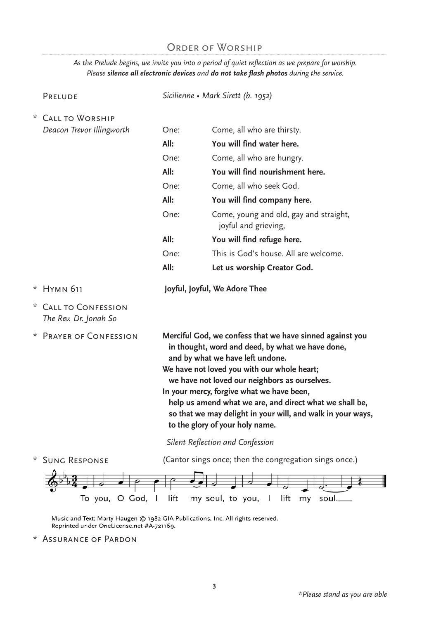*As the Prelude begins, we invite you into a period of quiet reflection as we prepare for worship. Please silence all electronic devices and do not take flash photos during the service.* 

Prelude *Sicilienne* • *Mark Sirett (b. 1952)*

|        | * CALL TO WORSHIP                             |                                                                                                                                                                                                                                                                                                                                                                                                                                                            |                                                                |  |
|--------|-----------------------------------------------|------------------------------------------------------------------------------------------------------------------------------------------------------------------------------------------------------------------------------------------------------------------------------------------------------------------------------------------------------------------------------------------------------------------------------------------------------------|----------------------------------------------------------------|--|
|        | Deacon Trevor Illingworth                     | One:                                                                                                                                                                                                                                                                                                                                                                                                                                                       | Come, all who are thirsty.                                     |  |
|        |                                               | All:                                                                                                                                                                                                                                                                                                                                                                                                                                                       | You will find water here.                                      |  |
|        |                                               | One:                                                                                                                                                                                                                                                                                                                                                                                                                                                       | Come, all who are hungry.                                      |  |
|        |                                               | All:                                                                                                                                                                                                                                                                                                                                                                                                                                                       | You will find nourishment here.                                |  |
|        |                                               | One:                                                                                                                                                                                                                                                                                                                                                                                                                                                       | Come, all who seek God.                                        |  |
|        |                                               | All:                                                                                                                                                                                                                                                                                                                                                                                                                                                       | You will find company here.                                    |  |
|        |                                               | One:                                                                                                                                                                                                                                                                                                                                                                                                                                                       | Come, young and old, gay and straight,<br>joyful and grieving, |  |
|        |                                               | All:                                                                                                                                                                                                                                                                                                                                                                                                                                                       | You will find refuge here.                                     |  |
|        |                                               | One:                                                                                                                                                                                                                                                                                                                                                                                                                                                       | This is God's house. All are welcome.                          |  |
|        |                                               | All:                                                                                                                                                                                                                                                                                                                                                                                                                                                       | Let us worship Creator God.                                    |  |
| *      | <b>Н</b> умм 611                              | Joyful, Joyful, We Adore Thee                                                                                                                                                                                                                                                                                                                                                                                                                              |                                                                |  |
|        | * CALL TO CONFESSION<br>The Rev. Dr. Jonah So |                                                                                                                                                                                                                                                                                                                                                                                                                                                            |                                                                |  |
| $\ast$ | PRAYER OF CONFESSION                          | Merciful God, we confess that we have sinned against you<br>in thought, word and deed, by what we have done,<br>and by what we have left undone.<br>We have not loved you with our whole heart;<br>we have not loved our neighbors as ourselves.<br>In your mercy, forgive what we have been,<br>help us amend what we are, and direct what we shall be,<br>so that we may delight in your will, and walk in your ways,<br>to the glory of your holy name. |                                                                |  |
|        |                                               |                                                                                                                                                                                                                                                                                                                                                                                                                                                            | Silent Reflection and Confession                               |  |
|        | * SUNG RESPONSE                               |                                                                                                                                                                                                                                                                                                                                                                                                                                                            | (Cantor sings once; then the congregation sings once.)         |  |
|        | To you, O God,<br>$\overline{\phantom{a}}$    | lift                                                                                                                                                                                                                                                                                                                                                                                                                                                       | lift<br>my soul, to you,<br>soul.<br>$\mathbf{I}$<br>my        |  |
|        |                                               |                                                                                                                                                                                                                                                                                                                                                                                                                                                            |                                                                |  |

Music and Text: Marty Haugen © 1982 GIA Publications, Inc. All rights reserved.<br>Reprinted under OneLicense.net #A-721169.

\* Assurance of Pardon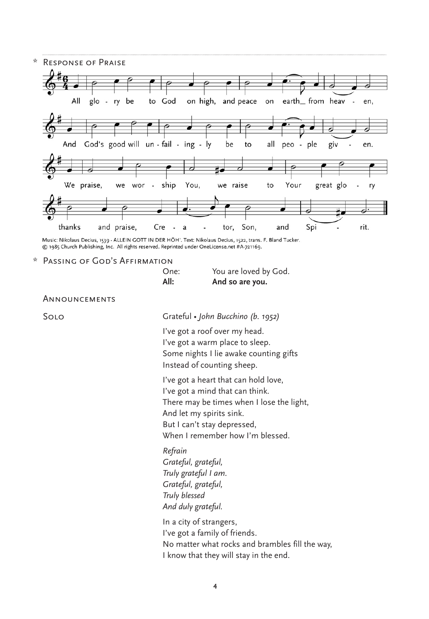

Music: Nikolaus Decius, 1539 - ALLEIN GOTT IN DER HÖH'. Text: Nikolaus Decius, 1522, trans. F. Bland Tucker.<br>© 1985 Church Publishing, Inc. All rights reserved. Reprinted under OneLicense.net #A-721169.

#### \* Passing of God's Affirmation

|               | One:<br>All:                                                                                                         | You are loved by God.<br>And so are you.                                                                                                                                                                            |
|---------------|----------------------------------------------------------------------------------------------------------------------|---------------------------------------------------------------------------------------------------------------------------------------------------------------------------------------------------------------------|
| ANNOUNCEMENTS |                                                                                                                      |                                                                                                                                                                                                                     |
| SOLO          |                                                                                                                      | Grateful • John Bucchino (b. 1952)                                                                                                                                                                                  |
|               |                                                                                                                      | I've got a roof over my head.<br>I've got a warm place to sleep.<br>Some nights I lie awake counting gifts<br>Instead of counting sheep.                                                                            |
|               |                                                                                                                      | I've got a heart that can hold love,<br>I've got a mind that can think.<br>There may be times when I lose the light,<br>And let my spirits sink.<br>But I can't stay depressed,<br>When I remember how I'm blessed. |
|               | Refrain<br>Grateful, grateful,<br>Truly grateful I am.<br>Grateful, grateful,<br>Truly blessed<br>And duly grateful. |                                                                                                                                                                                                                     |
|               |                                                                                                                      | In a city of strangers,<br>I've got a family of friends.<br>No matter what rocks and brambles fill the way,<br>I know that they will stay in the end.                                                               |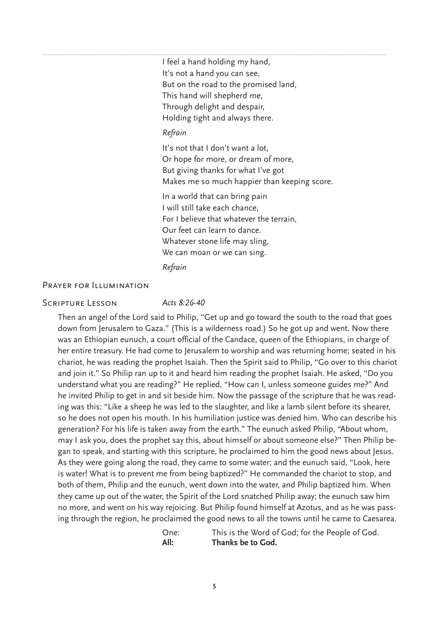I feel a hand holding my hand, It's not a hand you can see, But on the road to the promised land, This hand will shepherd me, Through delight and despair, Holding tight and always there.

#### *Refrain*

It's not that I don't want a lot. Or hope for more, or dream of more, But giving thanks for what I've got Makes me so much happier than keeping score.

In a world that can bring pain I will still take each chance, For I believe that whatever the terrain, Our feet can learn to dance. Whatever stone life may sling, We can moan or we can sing.

#### *Refrain*

### Prayer for Illumination

### Scripture Lesson *Acts 8:26-40*

Then an angel of the Lord said to Philip, "Get up and go toward the south to the road that goes down from Jerusalem to Gaza." (This is a wilderness road.) So he got up and went. Now there was an Ethiopian eunuch, a court official of the Candace, queen of the Ethiopians, in charge of her entire treasury. He had come to Jerusalem to worship and was returning home; seated in his chariot, he was reading the prophet Isaiah. Then the Spirit said to Philip, "Go over to this chariot and join it." So Philip ran up to it and heard him reading the prophet Isaiah. He asked, "Do you understand what you are reading?" He replied, "How can I, unless someone guides me?" And he invited Philip to get in and sit beside him. Now the passage of the scripture that he was reading was this: "Like a sheep he was led to the slaughter, and like a lamb silent before its shearer, so he does not open his mouth. In his humiliation justice was denied him. Who can describe his generation? For his life is taken away from the earth." The eunuch asked Philip, "About whom, may I ask you, does the prophet say this, about himself or about someone else?" Then Philip began to speak, and starting with this scripture, he proclaimed to him the good news about Jesus. As they were going along the road, they came to some water; and the eunuch said, "Look, here is water! What is to prevent me from being baptized?" He commanded the chariot to stop, and both of them, Philip and the eunuch, went down into the water, and Philip baptized him. When they came up out of the water, the Spirit of the Lord snatched Philip away; the eunuch saw him no more, and went on his way rejoicing. But Philip found himself at Azotus, and as he was passing through the region, he proclaimed the good news to all the towns until he came to Caesarea.

> One: This is the Word of God; for the People of God. **All: Thanks be to God.**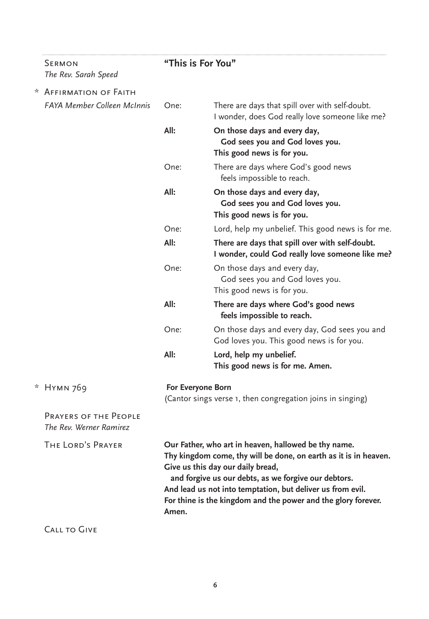|  | Sermon<br>The Rev. Sarah Speed                   |       | "This is For You"                                                                                                                                                                                                                                                                                                                                    |  |
|--|--------------------------------------------------|-------|------------------------------------------------------------------------------------------------------------------------------------------------------------------------------------------------------------------------------------------------------------------------------------------------------------------------------------------------------|--|
|  | * AFFIRMATION OF FAITH                           |       |                                                                                                                                                                                                                                                                                                                                                      |  |
|  | FAYA Member Colleen McInnis                      | One:  | There are days that spill over with self-doubt.<br>I wonder, does God really love someone like me?                                                                                                                                                                                                                                                   |  |
|  |                                                  | All:  | On those days and every day,<br>God sees you and God loves you.<br>This good news is for you.                                                                                                                                                                                                                                                        |  |
|  |                                                  | One:  | There are days where God's good news<br>feels impossible to reach.                                                                                                                                                                                                                                                                                   |  |
|  |                                                  | All:  | On those days and every day,<br>God sees you and God loves you.<br>This good news is for you.                                                                                                                                                                                                                                                        |  |
|  |                                                  | One:  | Lord, help my unbelief. This good news is for me.                                                                                                                                                                                                                                                                                                    |  |
|  |                                                  | All:  | There are days that spill over with self-doubt.<br>I wonder, could God really love someone like me?                                                                                                                                                                                                                                                  |  |
|  |                                                  | One:  | On those days and every day,<br>God sees you and God loves you.<br>This good news is for you.                                                                                                                                                                                                                                                        |  |
|  |                                                  | All:  | There are days where God's good news<br>feels impossible to reach.                                                                                                                                                                                                                                                                                   |  |
|  |                                                  | One:  | On those days and every day, God sees you and<br>God loves you. This good news is for you.                                                                                                                                                                                                                                                           |  |
|  |                                                  | All:  | Lord, help my unbelief.<br>This good news is for me. Amen.                                                                                                                                                                                                                                                                                           |  |
|  | * HYMN 769                                       |       | For Everyone Born<br>(Cantor sings verse 1, then congregation joins in singing)                                                                                                                                                                                                                                                                      |  |
|  | PRAYERS OF THE PEOPLE<br>The Rev. Werner Ramirez |       |                                                                                                                                                                                                                                                                                                                                                      |  |
|  | THE LORD'S PRAYER                                | Amen. | Our Father, who art in heaven, hallowed be thy name.<br>Thy kingdom come, thy will be done, on earth as it is in heaven.<br>Give us this day our daily bread,<br>and forgive us our debts, as we forgive our debtors.<br>And lead us not into temptation, but deliver us from evil.<br>For thine is the kingdom and the power and the glory forever. |  |
|  | <b>CALL TO GIVE</b>                              |       |                                                                                                                                                                                                                                                                                                                                                      |  |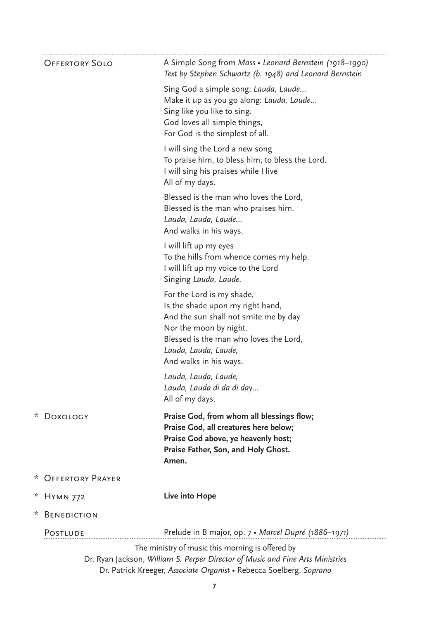| <b>OFFERTORY SOLO</b>   | A Simple Song from Mass . Leonard Bernstein (1918-1990)<br>Text by Stephen Schwartz (b. 1948) and Leonard Bernstein                                                                                                          |
|-------------------------|------------------------------------------------------------------------------------------------------------------------------------------------------------------------------------------------------------------------------|
|                         | Sing God a simple song: Lauda, Laude<br>Make it up as you go along: Lauda, Laude<br>Sing like you like to sing.<br>God loves all simple things,<br>For God is the simplest of all.                                           |
|                         | I will sing the Lord a new song<br>To praise him, to bless him, to bless the Lord.<br>I will sing his praises while I live<br>All of my days.                                                                                |
|                         | Blessed is the man who loves the Lord,<br>Blessed is the man who praises him.<br>Lauda, Lauda, Laude<br>And walks in his ways.                                                                                               |
|                         | I will lift up my eyes<br>To the hills from whence comes my help.<br>I will lift up my voice to the Lord<br>Singing Lauda, Laude.                                                                                            |
|                         | For the Lord is my shade,<br>Is the shade upon my right hand,<br>And the sun shall not smite me by day<br>Nor the moon by night.<br>Blessed is the man who loves the Lord,<br>Lauda, Lauda, Laude,<br>And walks in his ways. |
|                         | Lauda, Lauda, Laude,<br>Lauda, Lauda di da di day<br>All of my days.                                                                                                                                                         |
| *<br><b>DOXOLOGY</b>    | Praise God, from whom all blessings flow;<br>Praise God, all creatures here below;<br>Praise God above, ye heavenly host;<br>Praise Father, Son, and Holy Ghost.<br>Amen.                                                    |
| * OFFERTORY PRAYER      |                                                                                                                                                                                                                              |
| * HYMN 772              | Live into Hope                                                                                                                                                                                                               |
| *<br><b>BENEDICTION</b> |                                                                                                                                                                                                                              |
|                         |                                                                                                                                                                                                                              |

Dr. Patrick Kreeger, *Associate Organist •* Rebecca Soelberg, *Soprano*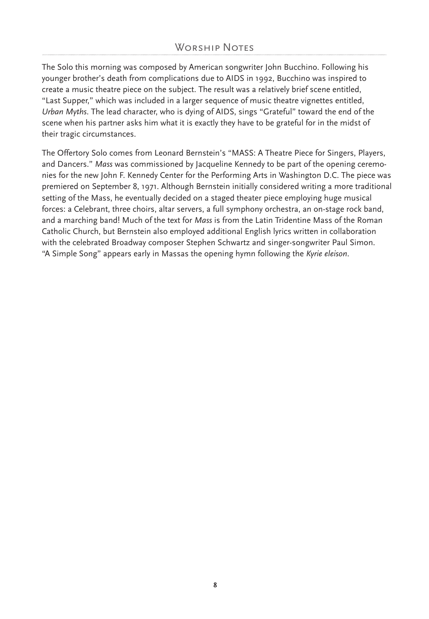# WORSHIP NOTES

The Solo this morning was composed by American songwriter John Bucchino. Following his younger brother's death from complications due to AIDS in 1992, Bucchino was inspired to create a music theatre piece on the subject. The result was a relatively brief scene entitled, "Last Supper," which was included in a larger sequence of music theatre vignettes entitled, *Urban Myths*. The lead character, who is dying of AIDS, sings "Grateful" toward the end of the scene when his partner asks him what it is exactly they have to be grateful for in the midst of their tragic circumstances.

The Offertory Solo comes from Leonard Bernstein's "MASS: A Theatre Piece for Singers, Players, and Dancers." *Mass* was commissioned by Jacqueline Kennedy to be part of the opening ceremonies for the new John F. Kennedy Center for the Performing Arts in Washington D.C. The piece was premiered on September 8, 1971. Although Bernstein initially considered writing a more traditional setting of the Mass, he eventually decided on a staged theater piece employing huge musical forces: a Celebrant, three choirs, altar servers, a full symphony orchestra, an on-stage rock band, and a marching band! Much of the text for *Mass* is from the Latin Tridentine Mass of the Roman Catholic Church, but Bernstein also employed additional English lyrics written in collaboration with the celebrated Broadway composer Stephen Schwartz and singer-songwriter Paul Simon. "A Simple Song" appears early in Massas the opening hymn following the *Kyrie eleison*.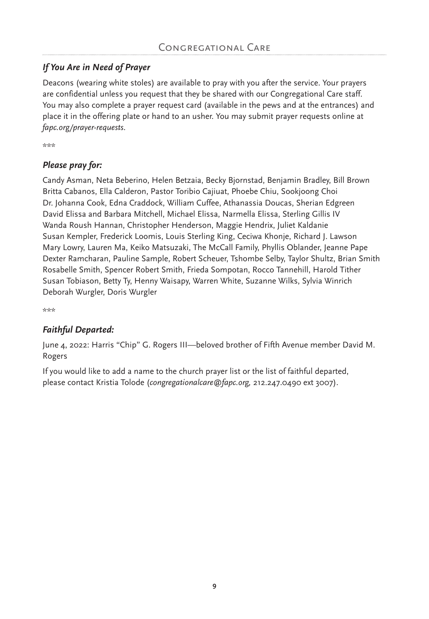# *If You Are in Need of Prayer*

Deacons (wearing white stoles) are available to pray with you after the service. Your prayers are confidential unless you request that they be shared with our Congregational Care staff. You may also complete a prayer request card (available in the pews and at the entrances) and place it in the offering plate or hand to an usher. You may submit prayer requests online at *fapc.org/prayer-requests*.

\*\*\*

## *Please pray for:*

Candy Asman, Neta Beberino, Helen Betzaia, Becky Bjornstad, Benjamin Bradley, Bill Brown Britta Cabanos, Ella Calderon, Pastor Toribio Cajiuat, Phoebe Chiu, Sookjoong Choi Dr. Johanna Cook, Edna Craddock, William Cuffee, Athanassia Doucas, Sherian Edgreen David Elissa and Barbara Mitchell, Michael Elissa, Narmella Elissa, Sterling Gillis IV Wanda Roush Hannan, Christopher Henderson, Maggie Hendrix, Juliet Kaldanie Susan Kempler, Frederick Loomis, Louis Sterling King, Ceciwa Khonje, Richard J. Lawson Mary Lowry, Lauren Ma, Keiko Matsuzaki, The McCall Family, Phyllis Oblander, Jeanne Pape Dexter Ramcharan, Pauline Sample, Robert Scheuer, Tshombe Selby, Taylor Shultz, Brian Smith Rosabelle Smith, Spencer Robert Smith, Frieda Sompotan, Rocco Tannehill, Harold Tither Susan Tobiason, Betty Ty, Henny Waisapy, Warren White, Suzanne Wilks, Sylvia Winrich Deborah Wurgler, Doris Wurgler

\*\*\*

## *Faithful Departed:*

June 4, 2022: Harris "Chip" G. Rogers III—beloved brother of Fifth Avenue member David M. Rogers

If you would like to add a name to the church prayer list or the list of faithful departed, please contact Kristia Tolode (*congregationalcare@fapc.org,* 212.247.0490 ext 3007).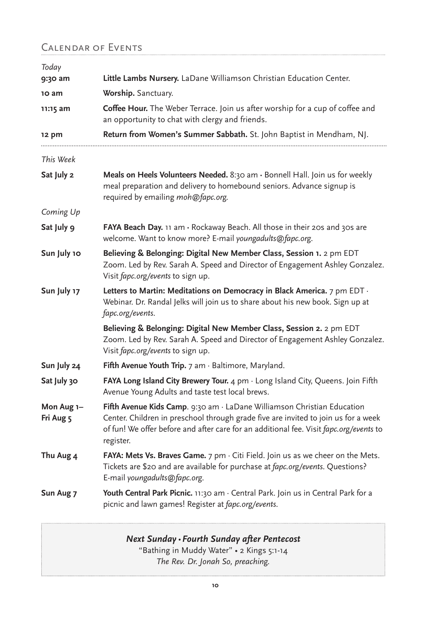# Calendar of Events

| Today                   |                                                                                                                                                                                                                                                                      |
|-------------------------|----------------------------------------------------------------------------------------------------------------------------------------------------------------------------------------------------------------------------------------------------------------------|
| 9:30 am<br>10 am        | Little Lambs Nursery. LaDane Williamson Christian Education Center.<br>Worship. Sanctuary.                                                                                                                                                                           |
|                         |                                                                                                                                                                                                                                                                      |
| $11:15$ am              | Coffee Hour. The Weber Terrace. Join us after worship for a cup of coffee and<br>an opportunity to chat with clergy and friends.                                                                                                                                     |
| 12 pm                   | Return from Women's Summer Sabbath. St. John Baptist in Mendham, NJ.                                                                                                                                                                                                 |
| This Week               |                                                                                                                                                                                                                                                                      |
| Sat July 2              | Meals on Heels Volunteers Needed. 8:30 am · Bonnell Hall. Join us for weekly<br>meal preparation and delivery to homebound seniors. Advance signup is<br>required by emailing moh@fapc.org.                                                                          |
| Coming Up               |                                                                                                                                                                                                                                                                      |
| Sat July 9              | <b>FAYA Beach Day.</b> 11 am $\cdot$ Rockaway Beach. All those in their 20s and 30s are<br>welcome. Want to know more? E-mail youngadults@fapc.org.                                                                                                                  |
| Sun July 10             | Believing & Belonging: Digital New Member Class, Session 1. 2 pm EDT<br>Zoom. Led by Rev. Sarah A. Speed and Director of Engagement Ashley Gonzalez.<br>Visit fapc.org/events to sign up.                                                                            |
| Sun July 17             | Letters to Martin: Meditations on Democracy in Black America. $7 \text{ pm}$ EDT $\cdot$<br>Webinar. Dr. Randal Jelks will join us to share about his new book. Sign up at<br>fapc.org/events.                                                                       |
|                         | Believing & Belonging: Digital New Member Class, Session 2. 2 pm EDT<br>Zoom. Led by Rev. Sarah A. Speed and Director of Engagement Ashley Gonzalez.<br>Visit fapc.org/events to sign up.                                                                            |
| Sun July 24             | Fifth Avenue Youth Trip. $7$ am $\cdot$ Baltimore, Maryland.                                                                                                                                                                                                         |
| Sat July 30             | FAYA Long Island City Brewery Tour. 4 pm · Long Island City, Queens. Join Fifth<br>Avenue Young Adults and taste test local brews.                                                                                                                                   |
| Mon Aug 1-<br>Fri Aug 5 | Fifth Avenue Kids Camp. 9:30 am · LaDane Williamson Christian Education<br>Center. Children in preschool through grade five are invited to join us for a week<br>of fun! We offer before and after care for an additional fee. Visit fapc.org/events to<br>register. |
| Thu Aug 4               | FAYA: Mets Vs. Braves Game. 7 pm · Citi Field. Join us as we cheer on the Mets.<br>Tickets are \$20 and are available for purchase at fapc.org/events. Questions?<br>E-mail youngadults@fapc.org.                                                                    |
| Sun Aug 7               | Youth Central Park Picnic. 11:30 am · Central Park. Join us in Central Park for a<br>picnic and lawn games! Register at fapc.org/events.                                                                                                                             |
|                         | Next Sunday • Fourth Sunday after Pentecost                                                                                                                                                                                                                          |

"Bathing in Muddy Water" • 2 Kings 5:1-14 *The Rev. Dr. Jonah So, preaching.*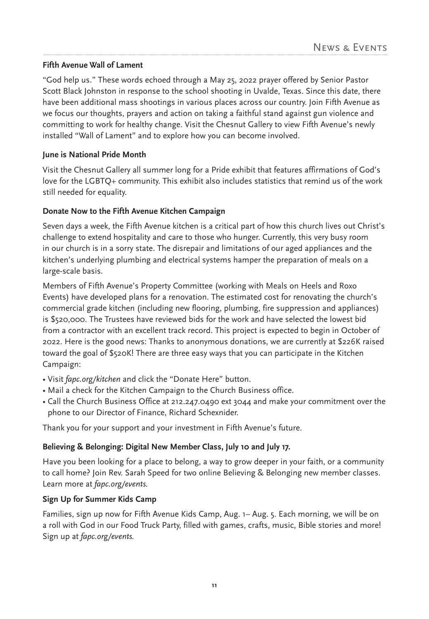### **Fifth Avenue Wall of Lament**

"God help us." These words echoed through a May 25, 2022 prayer offered by Senior Pastor Scott Black Johnston in response to the school shooting in Uvalde, Texas. Since this date, there have been additional mass shootings in various places across our country. Join Fifth Avenue as we focus our thoughts, prayers and action on taking a faithful stand against gun violence and committing to work for healthy change. Visit the Chesnut Gallery to view Fifth Avenue's newly installed "Wall of Lament" and to explore how you can become involved.

### **June is National Pride Month**

Visit the Chesnut Gallery all summer long for a Pride exhibit that features affirmations of God's love for the LGBTQ+ community. This exhibit also includes statistics that remind us of the work still needed for equality.

### **Donate Now to the Fifth Avenue Kitchen Campaign**

Seven days a week, the Fifth Avenue kitchen is a critical part of how this church lives out Christ's challenge to extend hospitality and care to those who hunger. Currently, this very busy room in our church is in a sorry state. The disrepair and limitations of our aged appliances and the kitchen's underlying plumbing and electrical systems hamper the preparation of meals on a large-scale basis.

Members of Fifth Avenue's Property Committee (working with Meals on Heels and Roxo Events) have developed plans for a renovation. The estimated cost for renovating the church's commercial grade kitchen (including new flooring, plumbing, fire suppression and appliances) is \$520,000. The Trustees have reviewed bids for the work and have selected the lowest bid from a contractor with an excellent track record. This project is expected to begin in October of 2022. Here is the good news: Thanks to anonymous donations, we are currently at \$226K raised toward the goal of \$520K! There are three easy ways that you can participate in the Kitchen Campaign:

- Visit *fapc.org/kitchen* and click the "Donate Here" button.
- Mail a check for the Kitchen Campaign to the Church Business office.
- Call the Church Business Office at 212.247.0490 ext 3044 and make your commitment over the phone to our Director of Finance, Richard Schexnider.

Thank you for your support and your investment in Fifth Avenue's future.

### **Believing & Belonging: Digital New Member Class, July 10 and July 17.**

Have you been looking for a place to belong, a way to grow deeper in your faith, or a community to call home? Join Rev. Sarah Speed for two online Believing & Belonging new member classes. Learn more at *fapc.org/events.* 

### **Sign Up for Summer Kids Camp**

Families, sign up now for Fifth Avenue Kids Camp, Aug. 1– Aug. 5. Each morning, we will be on a roll with God in our Food Truck Party, filled with games, crafts, music, Bible stories and more! Sign up at *fapc.org/events.*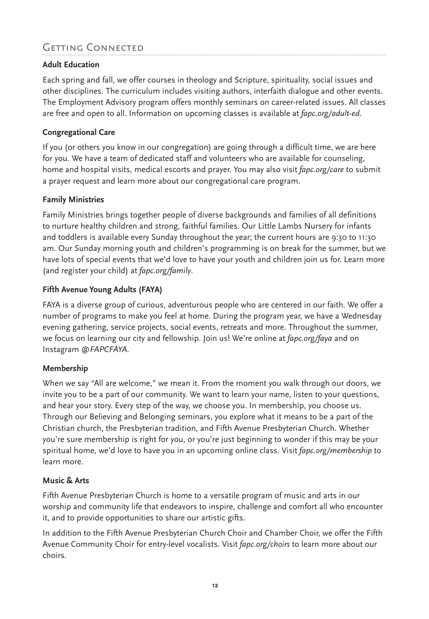# Getting Connected

### **Adult Education**

Each spring and fall, we offer courses in theology and Scripture, spirituality, social issues and other disciplines. The curriculum includes visiting authors, interfaith dialogue and other events. The Employment Advisory program offers monthly seminars on career-related issues. All classes are free and open to all. Information on upcoming classes is available at *fapc.org/adult-ed*.

### **Congregational Care**

If you (or others you know in our congregation) are going through a difficult time, we are here for you. We have a team of dedicated staff and volunteers who are available for counseling, home and hospital visits, medical escorts and prayer. You may also visit *fapc.org/care* to submit a prayer request and learn more about our congregational care program.

### **Family Ministries**

Family Ministries brings together people of diverse backgrounds and families of all definitions to nurture healthy children and strong, faithful families. Our Little Lambs Nursery for infants and toddlers is available every Sunday throughout the year; the current hours are 9:30 to 11:30 am. Our Sunday morning youth and children's programming is on break for the summer, but we have lots of special events that we'd love to have your youth and children join us for. Learn more (and register your child) at *fapc.org/family*.

### **Fifth Avenue Young Adults (FAYA)**

FAYA is a diverse group of curious, adventurous people who are centered in our faith. We offer a number of programs to make you feel at home. During the program year, we have a Wednesday evening gathering, service projects, social events, retreats and more. Throughout the summer, we focus on learning our city and fellowship. Join us! We're online at *fapc.org/faya* and on Instagram *@FAPCFAYA*.

### **Membership**

When we say "All are welcome," we mean it. From the moment you walk through our doors, we invite you to be a part of our community. We want to learn your name, listen to your questions, and hear your story. Every step of the way, we choose you. In membership, you choose us. Through our Believing and Belonging seminars, you explore what it means to be a part of the Christian church, the Presbyterian tradition, and Fifth Avenue Presbyterian Church. Whether you're sure membership is right for you, or you're just beginning to wonder if this may be your spiritual home, we'd love to have you in an upcoming online class. Visit *fapc.org/membership* to learn more.

### **Music & Arts**

Fifth Avenue Presbyterian Church is home to a versatile program of music and arts in our worship and community life that endeavors to inspire, challenge and comfort all who encounter it, and to provide opportunities to share our artistic gifts.

In addition to the Fifth Avenue Presbyterian Church Choir and Chamber Choir, we offer the Fifth Avenue Community Choir for entry-level vocalists. Visit *fapc.org/choirs* to learn more about our choirs.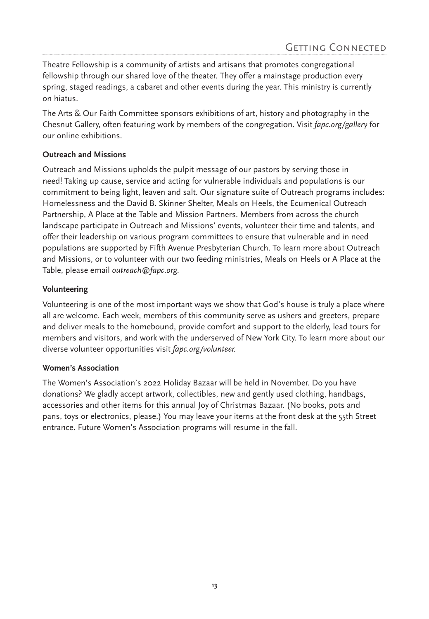Theatre Fellowship is a community of artists and artisans that promotes congregational fellowship through our shared love of the theater. They offer a mainstage production every spring, staged readings, a cabaret and other events during the year. This ministry is currently on hiatus.

The Arts & Our Faith Committee sponsors exhibitions of art, history and photography in the Chesnut Gallery, often featuring work by members of the congregation. Visit *fapc.org/gallery* for our online exhibitions.

### **Outreach and Missions**

Outreach and Missions upholds the pulpit message of our pastors by serving those in need! Taking up cause, service and acting for vulnerable individuals and populations is our commitment to being light, leaven and salt. Our signature suite of Outreach programs includes: Homelessness and the David B. Skinner Shelter, Meals on Heels, the Ecumenical Outreach Partnership, A Place at the Table and Mission Partners. Members from across the church landscape participate in Outreach and Missions' events, volunteer their time and talents, and offer their leadership on various program committees to ensure that vulnerable and in need populations are supported by Fifth Avenue Presbyterian Church. To learn more about Outreach and Missions, or to volunteer with our two feeding ministries, Meals on Heels or A Place at the Table, please email *outreach@fapc.org.*

### **Volunteering**

Volunteering is one of the most important ways we show that God's house is truly a place where all are welcome. Each week, members of this community serve as ushers and greeters, prepare and deliver meals to the homebound, provide comfort and support to the elderly, lead tours for members and visitors, and work with the underserved of New York City. To learn more about our diverse volunteer opportunities visit *fapc.org/volunteer.*

### **Women's Association**

The Women's Association's 2022 Holiday Bazaar will be held in November. Do you have donations? We gladly accept artwork, collectibles, new and gently used clothing, handbags, accessories and other items for this annual Joy of Christmas Bazaar. (No books, pots and pans, toys or electronics, please.) You may leave your items at the front desk at the 55th Street entrance. Future Women's Association programs will resume in the fall.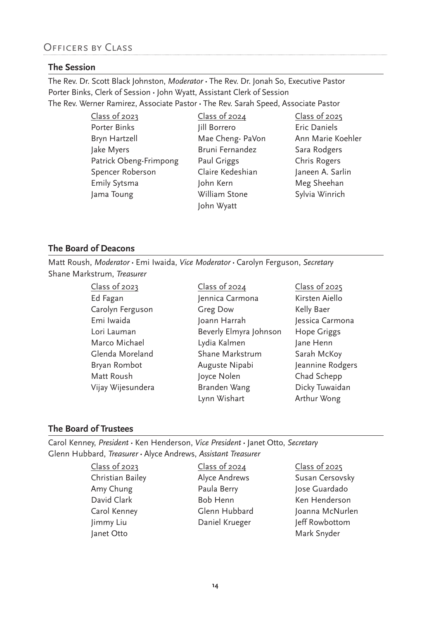### **The Session**

The Rev. Dr. Scott Black Johnston, *Moderator* **⋅** The Rev. Dr. Jonah So, Executive Pastor Porter Binks, Clerk of Session **⋅** John Wyatt, Assistant Clerk of Session The Rev. Werner Ramirez, Associate Pastor **⋅** The Rev. Sarah Speed, Associate Pastor

> Class of 2023 Porter Binks Bryn Hartzell Jake Myers Patrick Obeng-Frimpong Spencer Roberson Emily Sytsma Jama Toung

Class of 2024 Jill Borrero Mae Cheng- PaVon Bruni Fernandez Paul Griggs Claire Kedeshian John Kern William Stone John Wyatt

Class of 2025 Eric Daniels Ann Marie Koehler Sara Rodgers Chris Rogers Janeen A. Sarlin Meg Sheehan Sylvia Winrich

### **The Board of Deacons**

Matt Roush, *Moderator* **⋅** Emi Iwaida, *Vice Moderator* **⋅** Carolyn Ferguson, *Secretary* Shane Markstrum, *Treasurer*

> Class of 2023 Ed Fagan Carolyn Ferguson Emi Iwaida Lori Lauman Marco Michael Glenda Moreland Bryan Rombot Matt Roush Vijay Wijesundera

Class of 2024 Jennica Carmona Greg Dow Joann Harrah Beverly Elmyra Johnson Lydia Kalmen Shane Markstrum Auguste Nipabi Joyce Nolen Branden Wang Lynn Wishart

Class of 2025 Kirsten Aiello Kelly Baer Jessica Carmona Hope Griggs Jane Henn Sarah McKoy Jeannine Rodgers Chad Schepp Dicky Tuwaidan Arthur Wong

### **The Board of Trustees**

Carol Kenney, *President* **⋅** Ken Henderson, *Vice President* **⋅** Janet Otto, *Secretary* Glenn Hubbard, *Treasurer* **⋅** Alyce Andrews, *Assistant Treasurer*

> Class of 2023 Christian Bailey Amy Chung David Clark Carol Kenney Jimmy Liu Janet Otto

Class of 2024 Alyce Andrews Paula Berry Bob Henn Glenn Hubbard Daniel Krueger

Class of 2025 Susan Cersovsky Jose Guardado Ken Henderson Joanna McNurlen Jeff Rowbottom Mark Snyder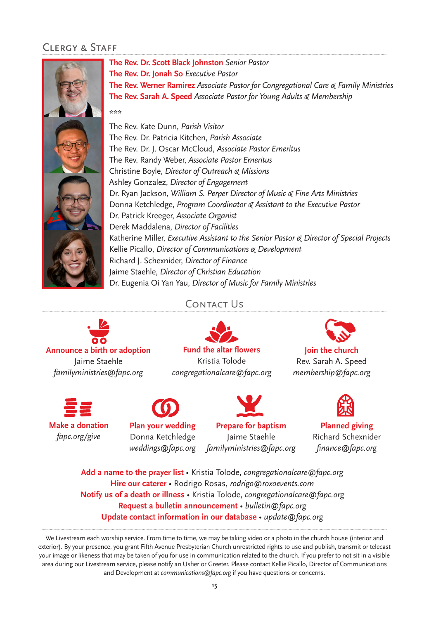# Clergy & Staff



# Contact Us



Jaime Staehle *familyministries@fapc.org*

**Fund the altar flowers**  Kristia Tolode *congregationalcare@fapc.org*



*fapc.org/give*



Donna Ketchledge

**Prepare for baptism** Jaime Staehle



Rev. Sarah A. Speed *membership@fapc.org*



**Planned giving** Richard Schexnider *finance@fapc.org*

**Add a name to the prayer list** • Kristia Tolode, *congregationalcare@fapc.org* **Hire our caterer** • Rodrigo Rosas, *rodrigo@roxoevents.com* **Notify us of a death or illness** • Kristia Tolode, *congregationalcare@fapc.org* **Request a bulletin announcement** • *bulletin@fapc.org* **Update contact information in our database** *• update@fapc.org*

*familyministries@fapc.org weddings@fapc.org*

We Livestream each worship service. From time to time, we may be taking video or a photo in the church house (interior and exterior). By your presence, you grant Fifth Avenue Presbyterian Church unrestricted rights to use and publish, transmit or telecast your image or likeness that may be taken of you for use in communication related to the church. If you prefer to not sit in a visible area during our Livestream service, please notify an Usher or Greeter. Please contact Kellie Picallo, Director of Communications and Development at *communications@fapc.org* if you have questions or concerns.